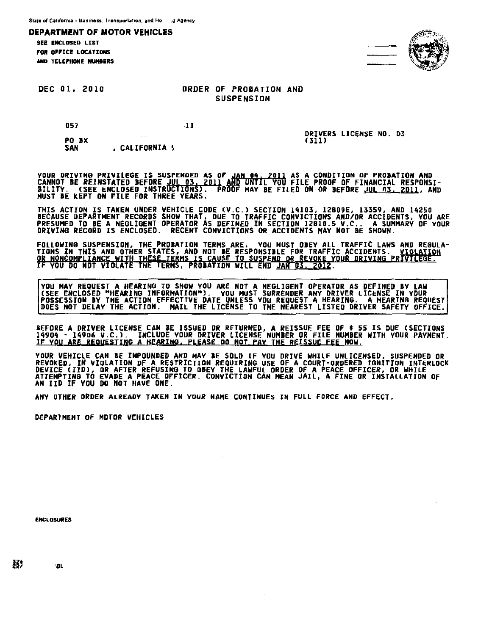**SEE FNCLDSED LIST** FOR OFFICE LOCATIONS. AND TELEPHONE MUMBERS



DEC 01, 2010

057

# ORDER OF PROBATION AND **SUSPENSION**

11

DRIVERS LICENSE NO. D3 (311)

PO BX<br>SAN , CALIFORNIA \

<u>YOUR DRIVING PRIVILEGE IS SUSPENDED AS OF JAN 04, 2011 AS A CONDITION OF PROBATION AND</u> CANNOT IE REINSTATED BEFORE dgL 83~ 201~ AND UNTIL YOU FILE PROOF OF FINANCIAL RESPONSI-BILITY. CSEE ENCLOSED INSTR TI N >. ROOF MAY BE FILED ON OR BEFORE JUL "3. ~. AND MUST BE KEPT ON FILE FOR THREE YEARS.

THIS ACTION IS TAKEN UNDER VEHICLE CODE (V.C.) SECTION 14103, 12809E, 13359, AND 14250 BECAUSE DEPARTMENT RECORDS SHOW THAT, DUE TO TRAFFIC CONVICTIONS AND/OR ACCIDENTS, YOU ARE<br>PRESUMED TO BE A NEGLIGENT OPERATOR AS DEFINED IN SECTION 12810.5 V.C.. A SUMMARY OF YOUR DRIVING RECORD IS ENCLOSED. RECENT CONVICTIONS OR ACCIDENTS MAY NOT BE SHOWN.

FOLLOWING SUSPENSION, THE PROBATION TERMS ARE: YOU MUST OBEY ALL TRAFFIC LAWS AND REGULA-<br>TIONS IN THIS AND OTHER STATES, AND NOT BE RESPONSIBLE FOR TRAFFIC ACCIDENTS. <u>VIOLATION</u><br><u>OR NONCOMPLIANCE WITH THESE TERMS IS CAUS</u>

YOU HAY REQUEST A HEARING TO SHOW YOU ARE NOT A NEGLIGENT OPERATOR AS DEFINED BY LAW CSEE ENCLOSED "HEARING INFORMATION"). YOU MUST SURRENDER ANY DRIVER LICENSE IN VDUR POSSESSION BY THE ACTION EFFECTIVE DATE UNLESS YOU REQUEST A HEARING. A HEARING REQUEST<br>DOES NOT DELAY THE ACTION. MAIL THE LICENSE TO THE NEAREST LISTED DRIVER SAFETY OFFICE.

BEFORE A DRIVER LICENSE CAN BE ISSUED DR RETURNED, A REISSUE FEE OF \$ 55 IS DUE (SECTIONS<br>14904 - 14906 V.C.), INCLUDE YOUR DRIVER LICENSE NUMBER OR FILE NUMBER WITH YOUR PAYMENT. <u>IF YOU ARE REQUESTING A HEARING. PLEASE DO NOT PAY THE REISSUE FEE NOW.</u>

YOUR VEHICLE CAN BE IMPOUNDED AND MAY BE SOLD IF YOU DRIVE WHILE UNLICENSED, SUSPENDED DR REVOKED, IN VIOLATION DF A RESTRICTION REQUIRING USE OF A COURT-ORDERED IGNITION INTERLOCK<br>D<u>evice (IID)</u>, <u>OR AFTER REFUSING TO</u> OB<u>EY THE LAWFUL ORDER OF A PEACE OFFICER, OR WHILE</u> ATTEMPTING TO EVADE A PEACE OFFICER. CONVICTION CAN MEAN JAIL, A FINE DR INSTALLATION OF AN IID IF VOU Do NOT HAVE ONE.

ANY OTHER ORDER ALREADY TAKEN IN YOUR NAME CONTINUES IN FULL FORCE AND EFFECT.

DEPARTMENT OF MOTOR VEHICLES

**ENCLOSURES** 

33) nu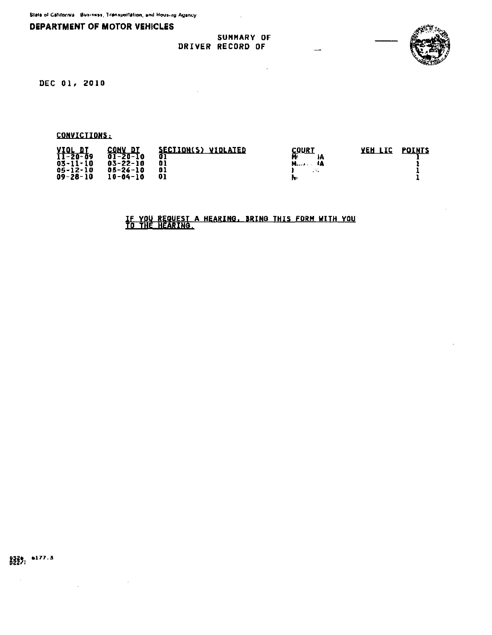**SUMMARY OF** DRIVER RECORD OF



DEC 01, 2010

CONVICTIONS:

|  | $\frac{YIOLDI}{11-20-09}$<br>CONV DI<br>01-20-10<br>$03 - 11 - 10$<br>$03 - 22 - 10$<br>05-26-10<br>05-12-10<br>$09 - 28 - 10$<br>10-04-10 | SECTION(S) VIOLATED<br>O)<br>01<br>01<br>01 | COUR T<br>$M_{\text{max}}$ | <b>AEH LIC</b> | <b>POINTS</b> |
|--|--------------------------------------------------------------------------------------------------------------------------------------------|---------------------------------------------|----------------------------|----------------|---------------|
|--|--------------------------------------------------------------------------------------------------------------------------------------------|---------------------------------------------|----------------------------|----------------|---------------|

 $\bar{z}$ 

<u>IF YOU REQUEST A HEARING, BRING THIS FORM WITH YOU TO THE HEARING.</u>

0326 0177.3<br>022/:

 $\sim$   $\sim$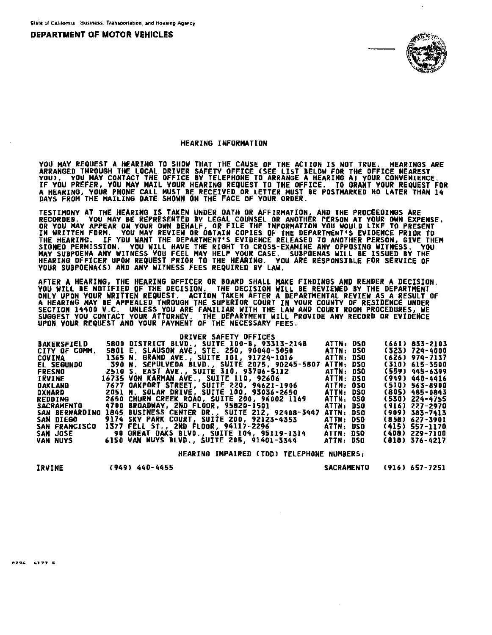

#### HEARING INFORMATION

**YOU MAY REQUEST A HEARING TO SHOW THAT THE CAUSE OF THE ACTION IS NOT TRUE. HEARINGS ARE<br>ARRANGED THROUGH THE LOCAL DRIVER SAFETY OFFICE (SEE LIST BELOW FOR THE OFFICE NEAREST<br>YOU). YOU MAY CONTACT THE OFFICE BY TELEPHONE** 

**TESTIMONY AT THE HEARING IS TAKEN UNDER OATH OR AFFIRMATION, AND THE PROCEEDINGS ARE<br>RECORDED. YOU MAY BE REPRESENTED BY LEGAL COUNSEL OR ANOTHER PERSON AT YOUR OWN EXPENSE,<br>OR YOU MAY APPEAR ON YOUR OWN BEHALF, OR FILE T** 

AFTER A HEARING, THE HEARING DFFICER OR BOARD SHALL MAKE FINDINGS AND RENDER A DECISION.<br>YOU WILL BE NOTIFIED OF THE DECISION. THE DECISION WILL BE REVIEWED BY THE DEPARTMENT<br>ONLY UPON YOUR WRITTEN REQUEST. ACTION TAKEN AF

|                    | <b>DRIVER SAFETY OFFICES</b>                           |           |  |                    |
|--------------------|--------------------------------------------------------|-----------|--|--------------------|
| <b>BAKERSFIELD</b> | 5800 DISTRICT BLVD., SUITE 100-B, 93313-214B           | ATTN: DSO |  | (661) 833-2103     |
| CITY OF COMM.      | 5801 E. SLAUSON AVE, STE. 250, 90040-3050              | ATTN: DSO |  | (323) 724-4000     |
| COVINA             | 1365 N. GRAND AVE., SUITE 101, 91724-1016              | ATTN: DSO |  | $(626)$ 974-7137   |
| <b>EL SEGUNDO</b>  | 390 N. SEPULVEDA BLVD SUITE 2075. 90245-5807           | ATTN: DSO |  | (310) 615-3500     |
| FRESNO             | 2510 S. EAST AVE., SUITE 310, 93706-5112               | ATTN: DSO |  | (559) 445-6399     |
| <b>IRVINE</b>      | 16735 VON KARMAN AVE., SUITE 110, 92606                | ATTN: DSQ |  | (949) 440-4416     |
| <b>OAKLAND</b>     | 7677 OAKPORT STREET, SUITE 220, 94621-1906             | ATTN: OSO |  | (510) 563-8900     |
| OXNARD             | <b>2051 N. SOLAR DRIVE, SUITE 100, 93036-2650</b>      | ATTN: DSO |  | (805) 485-0843     |
| <b>REDDING</b>     | 2650 CHURN CREEK ROAD, SUITE 200, 96002-1169           | ATTN: OSG |  | (530) 224-4755     |
| <b>SACRAMENTO</b>  | 4700 BROADWAY, 2ND FLOOR, 95820-1501                   | ATTN: DSO |  | (916) 227-2970     |
| SAN BERNARDINO     | <b>1845 BUSINESS CENTER DR., SUITE 212, 92408-3447</b> | ATTN: DSO |  | $(909)$ 383-7413   |
| SAN DIEGO          | <b>9174 SKY PARK COURT, SUITE 200, 92123-4353</b>      | ATTN: DSO |  | (858) 627-3901     |
| SAN FRANCISCO      | 1377 FELL ST., 2ND FLOOR, 94117-2296                   | ATTN: DSO |  | (415) 557-1170     |
| <b>SAN JOSE</b>    | <b>90 GREAT OAKS BLVO., SUITE 104, 95119-1314</b>      | ATTN: DSO |  | (408) 229-7100     |
| VAN NUYS           | 6150 VAN NUYS BLVD., SUITE 205, 91401-3344             | ATTN: DSO |  | $(818) 376 - 4217$ |

HEARING IMPAIRED (TDD) TELEPHONE NUMBERS:

IRVINE

 $(949)$   $440 - 4455$ 

**SACRAMENTO**  $(916) 657 - 7251$ 

1294 - 4177 R